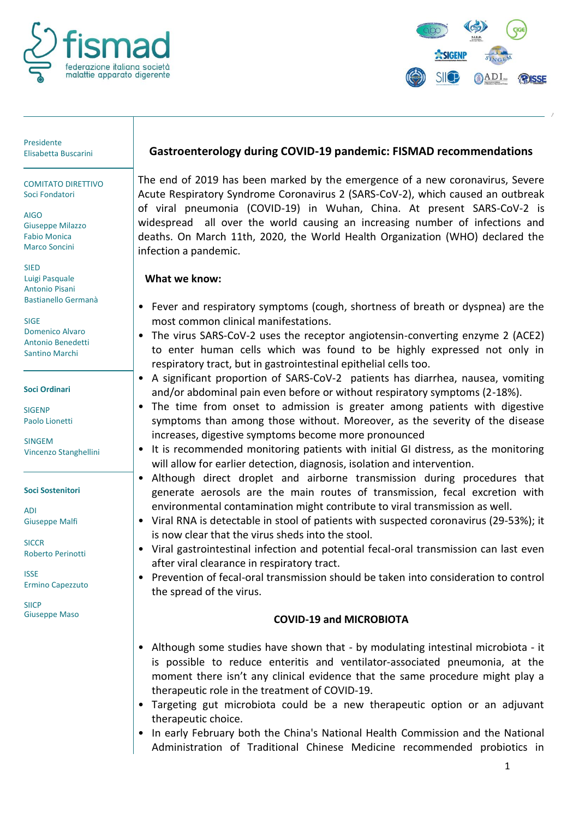



Presidente<br>Elisabetta Buscarini

COMITATO DIRETTIVO Soci Fondatori

AIGO Giuseppe Milazzo Fabio Monica Marco Soncini

**SIED** Luigi Pasquale Antonio Pisani Bastianello Germanà

SIGE Domenico Alvaro Antonio Benedetti Santino Marchi

**Soci Ordinari**

**SIGENP** Paolo Lionetti

SINGEM Vincenzo Stanghellini

**Soci Sostenitori**

ADI Giuseppe Malfi

**SICCR** Roberto Perinotti

ISSE Ermino Capezzuto

**SIICP** Giuseppe Maso

## Elisabetta Buscarini **Gastroenterology during COVID-19 pandemic: FISMAD recommendations**

The end of 2019 has been marked by the emergence of a new coronavirus, Severe Acute Respiratory Syndrome Coronavirus 2 (SARS-CoV-2), which caused an outbreak of viral pneumonia (COVID-19) in Wuhan, China. At present SARS-CoV-2 is widespread all over the world causing an increasing number of infections and deaths. On March 11th, 2020, the World Health Organization (WHO) declared the infection a pandemic.

### **What we know:**

- Fever and respiratory symptoms (cough, shortness of breath or dyspnea) are the most common clinical manifestations.
- The virus SARS-CoV-2 uses the receptor angiotensin-converting enzyme 2 (ACE2) to enter human cells which was found to be highly expressed not only in respiratory tract, but in gastrointestinal epithelial cells too.
- A significant proportion of SARS-CoV-2 patients has diarrhea, nausea, vomiting and/or abdominal pain even before or without respiratory symptoms (2-18%).
- The time from onset to admission is greater among patients with digestive symptoms than among those without. Moreover, as the severity of the disease increases, digestive symptoms become more pronounced
- It is recommended monitoring patients with initial GI distress, as the monitoring will allow for earlier detection, diagnosis, isolation and intervention.
- Although direct droplet and airborne transmission during procedures that generate aerosols are the main routes of transmission, fecal excretion with environmental contamination might contribute to viral transmission as well.
- Viral RNA is detectable in stool of patients with suspected coronavirus (29-53%); it is now clear that the virus sheds into the stool.
- Viral gastrointestinal infection and potential fecal-oral transmission can last even after viral clearance in respiratory tract.
- Prevention of fecal-oral transmission should be taken into consideration to control the spread of the virus.

## **COVID-19 and MICROBIOTA**

- Although some studies have shown that by modulating intestinal microbiota it is possible to reduce enteritis and ventilator‐associated pneumonia, at the moment there isn't any clinical evidence that the same procedure might play a therapeutic role in the treatment of COVID‐19.
- Targeting gut microbiota could be a new therapeutic option or an adjuvant therapeutic choice.
- In early February both the China's National Health Commission and the National Administration of Traditional Chinese Medicine recommended probiotics in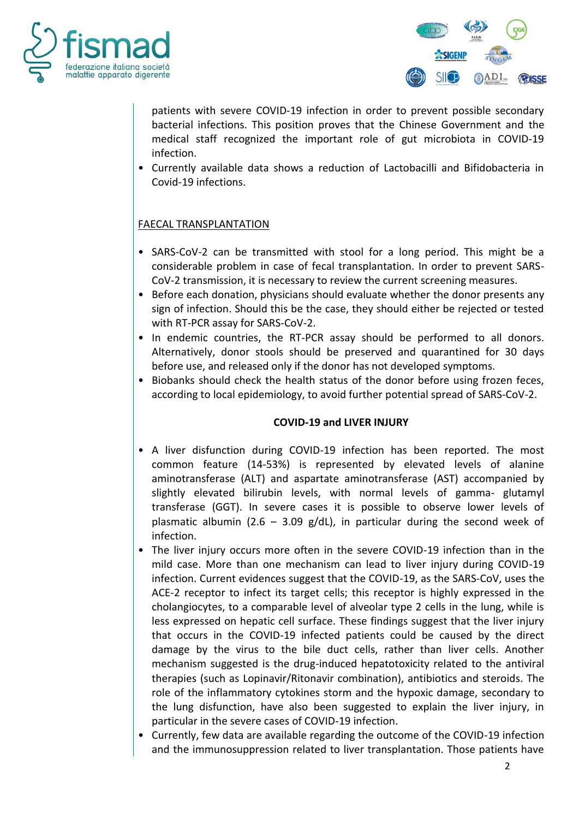



patients with severe COVID‐19 infection in order to prevent possible secondary bacterial infections. This position proves that the Chinese Government and the medical staff recognized the important role of gut microbiota in COVID‐19 infection.

• Currently available data shows a reduction of Lactobacilli and Bifidobacteria in Covid-19 infections.

### FAECAL TRANSPLANTATION

- SARS-CoV-2 can be transmitted with stool for a long period. This might be a considerable problem in case of fecal transplantation. In order to prevent SARS-CoV-2 transmission, it is necessary to review the current screening measures.
- Before each donation, physicians should evaluate whether the donor presents any sign of infection. Should this be the case, they should either be rejected or tested with RT-PCR assay for SARS-CoV-2.
- In endemic countries, the RT-PCR assay should be performed to all donors. Alternatively, donor stools should be preserved and quarantined for 30 days before use, and released only if the donor has not developed symptoms.
- Biobanks should check the health status of the donor before using frozen feces, according to local epidemiology, to avoid further potential spread of SARS-CoV-2.

#### **COVID-19 and LIVER INJURY**

- A liver disfunction during COVID-19 infection has been reported. The most common feature (14-53%) is represented by elevated levels of alanine aminotransferase (ALT) and aspartate aminotransferase (AST) accompanied by slightly elevated bilirubin levels, with normal levels of gamma- glutamyl transferase (GGT). In severe cases it is possible to observe lower levels of plasmatic albumin (2.6 – 3.09 g/dL), in particular during the second week of infection.
- The liver injury occurs more often in the severe COVID-19 infection than in the mild case. More than one mechanism can lead to liver injury during COVID-19 infection. Current evidences suggest that the COVID-19, as the SARS-CoV, uses the ACE-2 receptor to infect its target cells; this receptor is highly expressed in the cholangiocytes, to a comparable level of alveolar type 2 cells in the lung, while is less expressed on hepatic cell surface. These findings suggest that the liver injury that occurs in the COVID-19 infected patients could be caused by the direct damage by the virus to the bile duct cells, rather than liver cells. Another mechanism suggested is the drug-induced hepatotoxicity related to the antiviral therapies (such as Lopinavir/Ritonavir combination), antibiotics and steroids. The role of the inflammatory cytokines storm and the hypoxic damage, secondary to the lung disfunction, have also been suggested to explain the liver injury, in particular in the severe cases of COVID-19 infection.
- Currently, few data are available regarding the outcome of the COVID-19 infection and the immunosuppression related to liver transplantation. Those patients have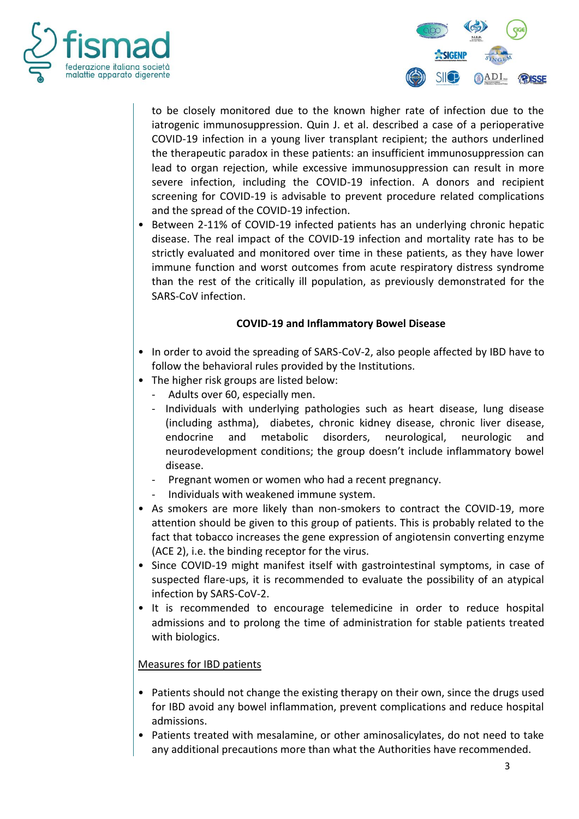



to be closely monitored due to the known higher rate of infection due to the iatrogenic immunosuppression. Quin J. et al. described a case of a perioperative COVID-19 infection in a young liver transplant recipient; the authors underlined the therapeutic paradox in these patients: an insufficient immunosuppression can lead to organ rejection, while excessive immunosuppression can result in more severe infection, including the COVID-19 infection. A donors and recipient screening for COVID-19 is advisable to prevent procedure related complications and the spread of the COVID-19 infection.

• Between 2-11% of COVID-19 infected patients has an underlying chronic hepatic disease. The real impact of the COVID-19 infection and mortality rate has to be strictly evaluated and monitored over time in these patients, as they have lower immune function and worst outcomes from acute respiratory distress syndrome than the rest of the critically ill population, as previously demonstrated for the SARS-CoV infection.

#### **COVID-19 and Inflammatory Bowel Disease**

- In order to avoid the spreading of SARS-CoV-2, also people affected by IBD have to follow the behavioral rules provided by the Institutions.
- The higher risk groups are listed below:
	- Adults over 60, especially men.
	- Individuals with underlying pathologies such as heart disease, lung disease (including asthma), diabetes, chronic kidney disease, chronic liver disease, endocrine and metabolic disorders, neurological, neurologic and neurodevelopment conditions; the group doesn't include inflammatory bowel disease.
	- Pregnant women or women who had a recent pregnancy.
	- Individuals with weakened immune system.
- As smokers are more likely than non-smokers to contract the COVID-19, more attention should be given to this group of patients. This is probably related to the fact that tobacco increases the gene expression of angiotensin converting enzyme (ACE 2), i.e. the binding receptor for the virus.
- Since COVID-19 might manifest itself with gastrointestinal symptoms, in case of suspected flare-ups, it is recommended to evaluate the possibility of an atypical infection by SARS-CoV-2.
- It is recommended to encourage telemedicine in order to reduce hospital admissions and to prolong the time of administration for stable patients treated with biologics.

## Measures for IBD patients

- Patients should not change the existing therapy on their own, since the drugs used for IBD avoid any bowel inflammation, prevent complications and reduce hospital admissions.
- Patients treated with mesalamine, or other aminosalicylates, do not need to take any additional precautions more than what the Authorities have recommended.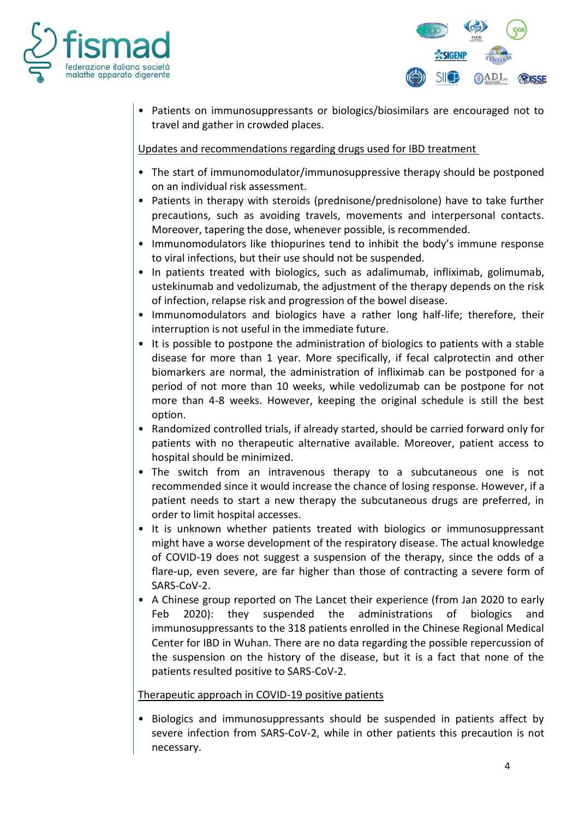



• Patients on immunosuppressants or biologics/biosimilars are encouraged not to travel and gather in crowded places.

Updates and recommendations regarding drugs used for IBD treatment

- The start of immunomodulator/immunosuppressive therapy should be postponed on an individual risk assessment.
- Patients in therapy with steroids (prednisone/prednisolone) have to take further precautions, such as avoiding travels, movements and interpersonal contacts. Moreover, tapering the dose, whenever possible, is recommended.
- Immunomodulators like thiopurines tend to inhibit the body's immune response to viral infections, but their use should not be suspended.
- In patients treated with biologics, such as adalimumab, infliximab, golimumab, ustekinumab and vedolizumab, the adjustment of the therapy depends on the risk of infection, relapse risk and progression of the bowel disease.
- Immunomodulators and biologics have a rather long half-life; therefore, their interruption is not useful in the immediate future.
- It is possible to postpone the administration of biologics to patients with a stable disease for more than 1 year. More specifically, if fecal calprotectin and other biomarkers are normal, the administration of infliximab can be postponed for a period of not more than 10 weeks, while vedolizumab can be postpone for not more than 4-8 weeks. However, keeping the original schedule is still the best option.
- Randomized controlled trials, if already started, should be carried forward only for patients with no therapeutic alternative available. Moreover, patient access to hospital should be minimized.
- The switch from an intravenous therapy to a subcutaneous one is not recommended since it would increase the chance of losing response. However, if a patient needs to start a new therapy the subcutaneous drugs are preferred, in order to limit hospital accesses.
- It is unknown whether patients treated with biologics or immunosuppressant might have a worse development of the respiratory disease. The actual knowledge of COVID-19 does not suggest a suspension of the therapy, since the odds of a flare-up, even severe, are far higher than those of contracting a severe form of SARS-CoV-2.
- A Chinese group reported on The Lancet their experience (from Jan 2020 to early Feb 2020): they suspended the administrations of biologics and immunosuppressants to the 318 patients enrolled in the Chinese Regional Medical Center for IBD in Wuhan. There are no data regarding the possible repercussion of the suspension on the history of the disease, but it is a fact that none of the patients resulted positive to SARS-CoV-2.

## Therapeutic approach in COVID-19 positive patients

• Biologics and immunosuppressants should be suspended in patients affect by severe infection from SARS-CoV-2, while in other patients this precaution is not necessary.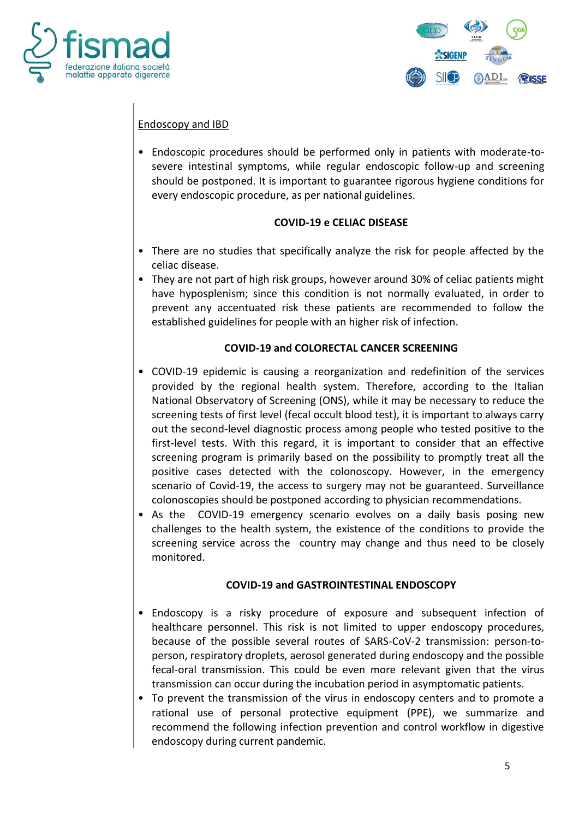



# Endoscopy and IBD

• Endoscopic procedures should be performed only in patients with moderate-tosevere intestinal symptoms, while regular endoscopic follow-up and screening should be postponed. It is important to guarantee rigorous hygiene conditions for every endoscopic procedure, as per national guidelines.

#### **COVID-19 e CELIAC DISEASE**

- There are no studies that specifically analyze the risk for people affected by the celiac disease.
- They are not part of high risk groups, however around 30% of celiac patients might have hyposplenism; since this condition is not normally evaluated, in order to prevent any accentuated risk these patients are recommended to follow the established guidelines for people with an higher risk of infection.

### **COVID-19 and COLORECTAL CANCER SCREENING**

- COVID-19 epidemic is causing a reorganization and redefinition of the services provided by the regional health system. Therefore, according to the Italian National Observatory of Screening (ONS), while it may be necessary to reduce the screening tests of first level (fecal occult blood test), it is important to always carry out the second-level diagnostic process among people who tested positive to the first-level tests. With this regard, it is important to consider that an effective screening program is primarily based on the possibility to promptly treat all the positive cases detected with the colonoscopy. However, in the emergency scenario of Covid-19, the access to surgery may not be guaranteed. Surveillance colonoscopies should be postponed according to physician recommendations.
- As the COVID-19 emergency scenario evolves on a daily basis posing new challenges to the health system, the existence of the conditions to provide the screening service across the country may change and thus need to be closely monitored.

#### **COVID-19 and GASTROINTESTINAL ENDOSCOPY**

- Endoscopy is a risky procedure of exposure and subsequent infection of healthcare personnel. This risk is not limited to upper endoscopy procedures, because of the possible several routes of SARS-CoV-2 transmission: person-toperson, respiratory droplets, aerosol generated during endoscopy and the possible fecal-oral transmission. This could be even more relevant given that the virus transmission can occur during the incubation period in asymptomatic patients.
- To prevent the transmission of the virus in endoscopy centers and to promote a rational use of personal protective equipment (PPE), we summarize and recommend the following infection prevention and control workflow in digestive endoscopy during current pandemic.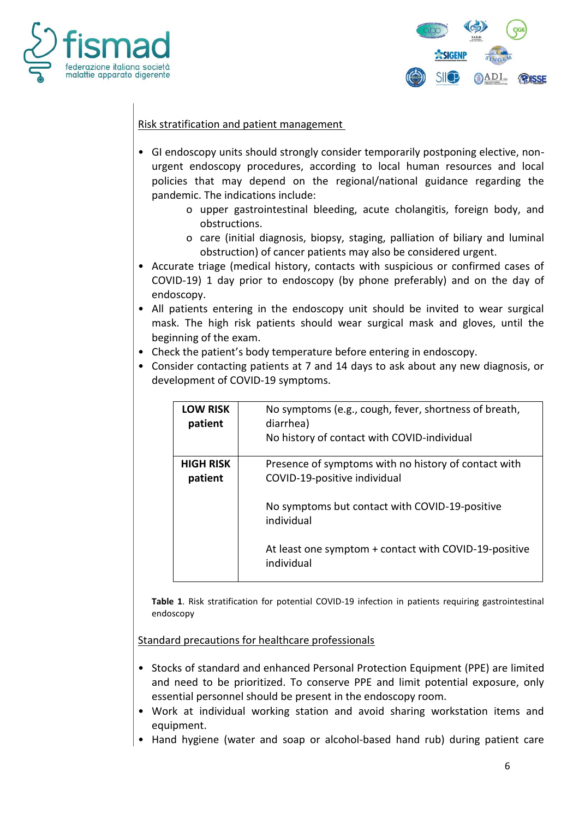



### Risk stratification and patient management

- GI endoscopy units should strongly consider temporarily postponing elective, nonurgent endoscopy procedures, according to local human resources and local policies that may depend on the regional/national guidance regarding the pandemic. The indications include:
	- o upper gastrointestinal bleeding, acute cholangitis, foreign body, and obstructions.
	- o care (initial diagnosis, biopsy, staging, palliation of biliary and luminal obstruction) of cancer patients may also be considered urgent.
- Accurate triage (medical history, contacts with suspicious or confirmed cases of COVID-19) 1 day prior to endoscopy (by phone preferably) and on the day of endoscopy.
- All patients entering in the endoscopy unit should be invited to wear surgical mask. The high risk patients should wear surgical mask and gloves, until the beginning of the exam.
- Check the patient's body temperature before entering in endoscopy.
- Consider contacting patients at 7 and 14 days to ask about any new diagnosis, or development of COVID-19 symptoms.

| <b>LOW RISK</b><br>patient  | No symptoms (e.g., cough, fever, shortness of breath,<br>diarrhea)<br>No history of contact with COVID-individual                                                                                                           |
|-----------------------------|-----------------------------------------------------------------------------------------------------------------------------------------------------------------------------------------------------------------------------|
| <b>HIGH RISK</b><br>patient | Presence of symptoms with no history of contact with<br>COVID-19-positive individual<br>No symptoms but contact with COVID-19-positive<br>individual<br>At least one symptom + contact with COVID-19-positive<br>individual |

**Table 1**. Risk stratification for potential COVID-19 infection in patients requiring gastrointestinal endoscopy

Standard precautions for healthcare professionals

- Stocks of standard and enhanced Personal Protection Equipment (PPE) are limited and need to be prioritized. To conserve PPE and limit potential exposure, only essential personnel should be present in the endoscopy room.
- Work at individual working station and avoid sharing workstation items and equipment.
- Hand hygiene (water and soap or alcohol-based hand rub) during patient care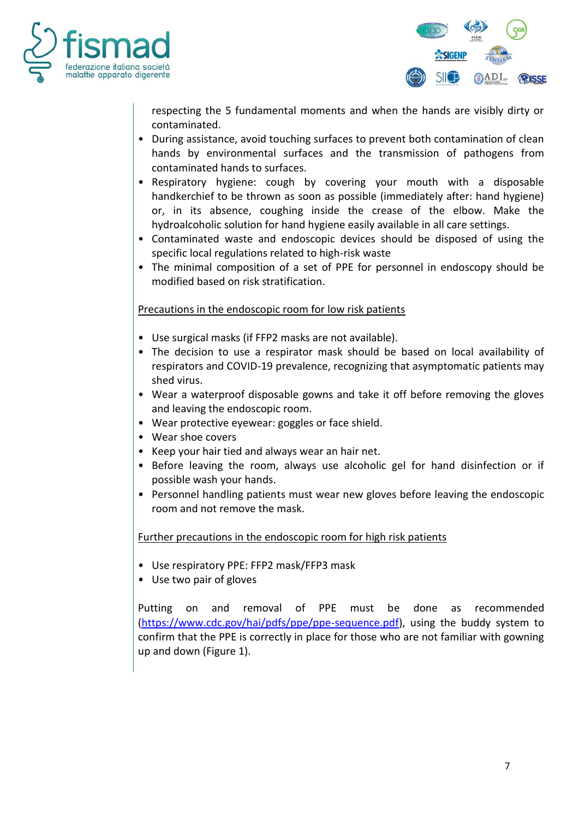



respecting the 5 fundamental moments and when the hands are visibly dirty or contaminated.

- During assistance, avoid touching surfaces to prevent both contamination of clean hands by environmental surfaces and the transmission of pathogens from contaminated hands to surfaces.
- Respiratory hygiene: cough by covering your mouth with a disposable handkerchief to be thrown as soon as possible (immediately after: hand hygiene) or, in its absence, coughing inside the crease of the elbow. Make the hydroalcoholic solution for hand hygiene easily available in all care settings.
- Contaminated waste and endoscopic devices should be disposed of using the specific local regulations related to high-risk waste
- The minimal composition of a set of PPE for personnel in endoscopy should be modified based on risk stratification.

### Precautions in the endoscopic room for low risk patients

- Use surgical masks (if FFP2 masks are not available).
- The decision to use a respirator mask should be based on local availability of respirators and COVID-19 prevalence, recognizing that asymptomatic patients may shed virus.
- Wear a waterproof disposable gowns and take it off before removing the gloves and leaving the endoscopic room.
- Wear protective eyewear: goggles or face shield.
- Wear shoe covers
- Keep your hair tied and always wear an hair net.
- Before leaving the room, always use alcoholic gel for hand disinfection or if possible wash your hands.
- Personnel handling patients must wear new gloves before leaving the endoscopic room and not remove the mask.

Further precautions in the endoscopic room for high risk patients

- Use respiratory PPE: FFP2 mask/FFP3 mask
- Use two pair of gloves

Putting on and removal of PPE must be done as recommended [\(https://www.cdc.gov/hai/pdfs/ppe/ppe-sequence.pdf\)](https://www.cdc.gov/hai/pdfs/ppe/ppe-sequence.pdf), using the buddy system to confirm that the PPE is correctly in place for those who are not familiar with gowning up and down (Figure 1).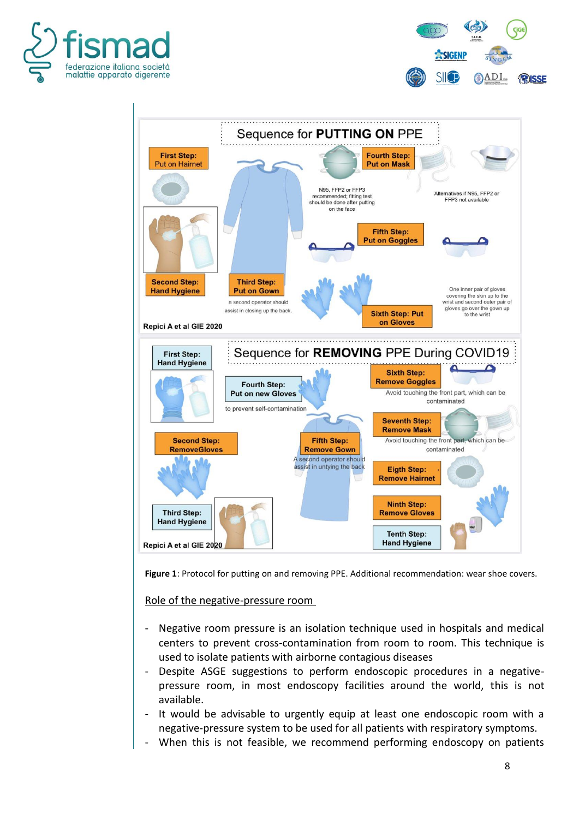





**Figure 1**: Protocol for putting on and removing PPE. Additional recommendation: wear shoe covers.

Role of the negative-pressure room

- Negative room pressure is an isolation technique used in hospitals and medical centers to prevent cross-contamination from room to room. This technique is used to isolate patients with airborne contagious diseases
- Despite ASGE suggestions to perform endoscopic procedures in a negativepressure room, in most endoscopy facilities around the world, this is not available.
- It would be advisable to urgently equip at least one endoscopic room with a negative-pressure system to be used for all patients with respiratory symptoms.
- When this is not feasible, we recommend performing endoscopy on patients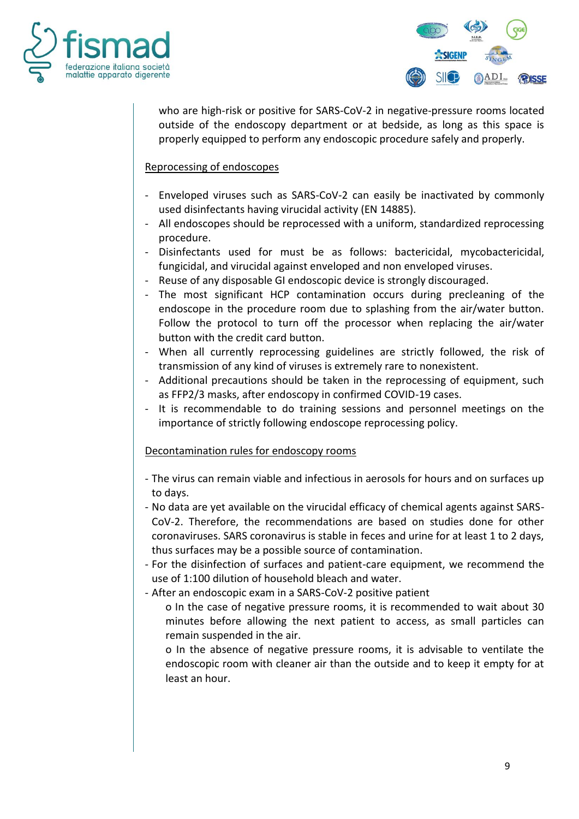



who are high-risk or positive for SARS-CoV-2 in negative-pressure rooms located outside of the endoscopy department or at bedside, as long as this space is properly equipped to perform any endoscopic procedure safely and properly.

## Reprocessing of endoscopes

- Enveloped viruses such as SARS-CoV-2 can easily be inactivated by commonly used disinfectants having virucidal activity (EN 14885).
- All endoscopes should be reprocessed with a uniform, standardized reprocessing procedure.
- Disinfectants used for must be as follows: bactericidal, mycobactericidal, fungicidal, and virucidal against enveloped and non enveloped viruses.
- Reuse of any disposable GI endoscopic device is strongly discouraged.
- The most significant HCP contamination occurs during precleaning of the endoscope in the procedure room due to splashing from the air/water button. Follow the protocol to turn off the processor when replacing the air/water button with the credit card button.
- When all currently reprocessing guidelines are strictly followed, the risk of transmission of any kind of viruses is extremely rare to nonexistent.
- Additional precautions should be taken in the reprocessing of equipment, such as FFP2/3 masks, after endoscopy in confirmed COVID-19 cases.
- It is recommendable to do training sessions and personnel meetings on the importance of strictly following endoscope reprocessing policy.

#### Decontamination rules for endoscopy rooms

- The virus can remain viable and infectious in aerosols for hours and on surfaces up to days.
- No data are yet available on the virucidal efficacy of chemical agents against SARS-CoV-2. Therefore, the recommendations are based on studies done for other coronaviruses. SARS coronavirus is stable in feces and urine for at least 1 to 2 days, thus surfaces may be a possible source of contamination.
- For the disinfection of surfaces and patient-care equipment, we recommend the use of 1:100 dilution of household bleach and water.
- After an endoscopic exam in a SARS-CoV-2 positive patient
	- o In the case of negative pressure rooms, it is recommended to wait about 30 minutes before allowing the next patient to access, as small particles can remain suspended in the air.
		- o In the absence of negative pressure rooms, it is advisable to ventilate the endoscopic room with cleaner air than the outside and to keep it empty for at least an hour.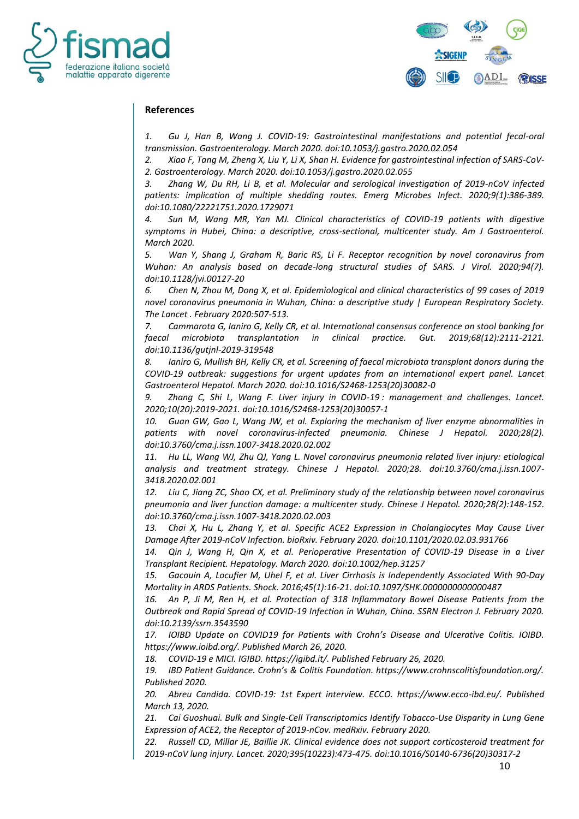



#### **References**

*1. Gu J, Han B, Wang J. COVID-19: Gastrointestinal manifestations and potential fecal-oral transmission. Gastroenterology. March 2020. doi:10.1053/j.gastro.2020.02.054*

*2. Xiao F, Tang M, Zheng X, Liu Y, Li X, Shan H. Evidence for gastrointestinal infection of SARS-CoV-2. Gastroenterology. March 2020. doi:10.1053/j.gastro.2020.02.055*

*3. Zhang W, Du RH, Li B, et al. Molecular and serological investigation of 2019-nCoV infected patients: implication of multiple shedding routes. Emerg Microbes Infect. 2020;9(1):386-389. doi:10.1080/22221751.2020.1729071*

*4. Sun M, Wang MR, Yan MJ. Clinical characteristics of COVID-19 patients with digestive symptoms in Hubei, China: a descriptive, cross-sectional, multicenter study. Am J Gastroenterol. March 2020.* 

*5. Wan Y, Shang J, Graham R, Baric RS, Li F. Receptor recognition by novel coronavirus from Wuhan: An analysis based on decade-long structural studies of SARS. J Virol. 2020;94(7). doi:10.1128/jvi.00127-20*

*6. Chen N, Zhou M, Dong X, et al. Epidemiological and clinical characteristics of 99 cases of 2019 novel coronavirus pneumonia in Wuhan, China: a descriptive study | European Respiratory Society. The Lancet . February 2020:507-513.* 

*7. Cammarota G, Ianiro G, Kelly CR, et al. International consensus conference on stool banking for faecal microbiota transplantation in clinical practice. Gut. 2019;68(12):2111-2121. doi:10.1136/gutjnl-2019-319548*

*8. Ianiro G, Mullish BH, Kelly CR, et al. Screening of faecal microbiota transplant donors during the COVID-19 outbreak: suggestions for urgent updates from an international expert panel. Lancet Gastroenterol Hepatol. March 2020. doi:10.1016/S2468-1253(20)30082-0*

*9. Zhang C, Shi L, Wang F. Liver injury in COVID-19 : management and challenges. Lancet. 2020;10(20):2019-2021. doi:10.1016/S2468-1253(20)30057-1*

*10. Guan GW, Gao L, Wang JW, et al. Exploring the mechanism of liver enzyme abnormalities in patients with novel coronavirus-infected pneumonia. Chinese J Hepatol. 2020;28(2). doi:10.3760/cma.j.issn.1007-3418.2020.02.002*

11. Hu LL, Wang WJ, Zhu QJ, Yang L. Novel coronavirus pneumonia related liver injury: etiological *analysis and treatment strategy. Chinese J Hepatol. 2020;28. doi:10.3760/cma.j.issn.1007- 3418.2020.02.001*

*12. Liu C, Jiang ZC, Shao CX, et al. Preliminary study of the relationship between novel coronavirus pneumonia and liver function damage: a multicenter study. Chinese J Hepatol. 2020;28(2):148-152. doi:10.3760/cma.j.issn.1007-3418.2020.02.003*

*13. Chai X, Hu L, Zhang Y, et al. Specific ACE2 Expression in Cholangiocytes May Cause Liver Damage After 2019-nCoV Infection. bioRxiv. February 2020. doi:10.1101/2020.02.03.931766*

*14. Qin J, Wang H, Qin X, et al. Perioperative Presentation of COVID-19 Disease in a Liver Transplant Recipient. Hepatology. March 2020. doi:10.1002/hep.31257*

*15. Gacouin A, Locufier M, Uhel F, et al. Liver Cirrhosis is Independently Associated With 90-Day Mortality in ARDS Patients. Shock. 2016;45(1):16-21. doi:10.1097/SHK.0000000000000487*

*16. An P, Ji M, Ren H, et al. Protection of 318 Inflammatory Bowel Disease Patients from the Outbreak and Rapid Spread of COVID-19 Infection in Wuhan, China. SSRN Electron J. February 2020. doi:10.2139/ssrn.3543590*

*17. IOIBD Update on COVID19 for Patients with Crohn's Disease and Ulcerative Colitis. IOIBD. https://www.ioibd.org/. Published March 26, 2020.*

*18. COVID-19 e MICI. IGIBD. https://igibd.it/. Published February 26, 2020.*

*19. IBD Patient Guidance. Crohn's & Colitis Foundation. https://www.crohnscolitisfoundation.org/. Published 2020.*

20. Abreu Candida. COVID-19: 1st Expert interview. ECCO. https://www.ecco-ibd.eu/. Published *March 13, 2020.*

*21. Cai Guoshuai. Bulk and Single-Cell Transcriptomics Identify Tobacco-Use Disparity in Lung Gene Expression of ACE2, the Receptor of 2019-nCov. medRxiv. February 2020.*

*22. Russell CD, Millar JE, Baillie JK. Clinical evidence does not support corticosteroid treatment for 2019-nCoV lung injury. Lancet. 2020;395(10223):473-475. doi:10.1016/S0140-6736(20)30317-2*